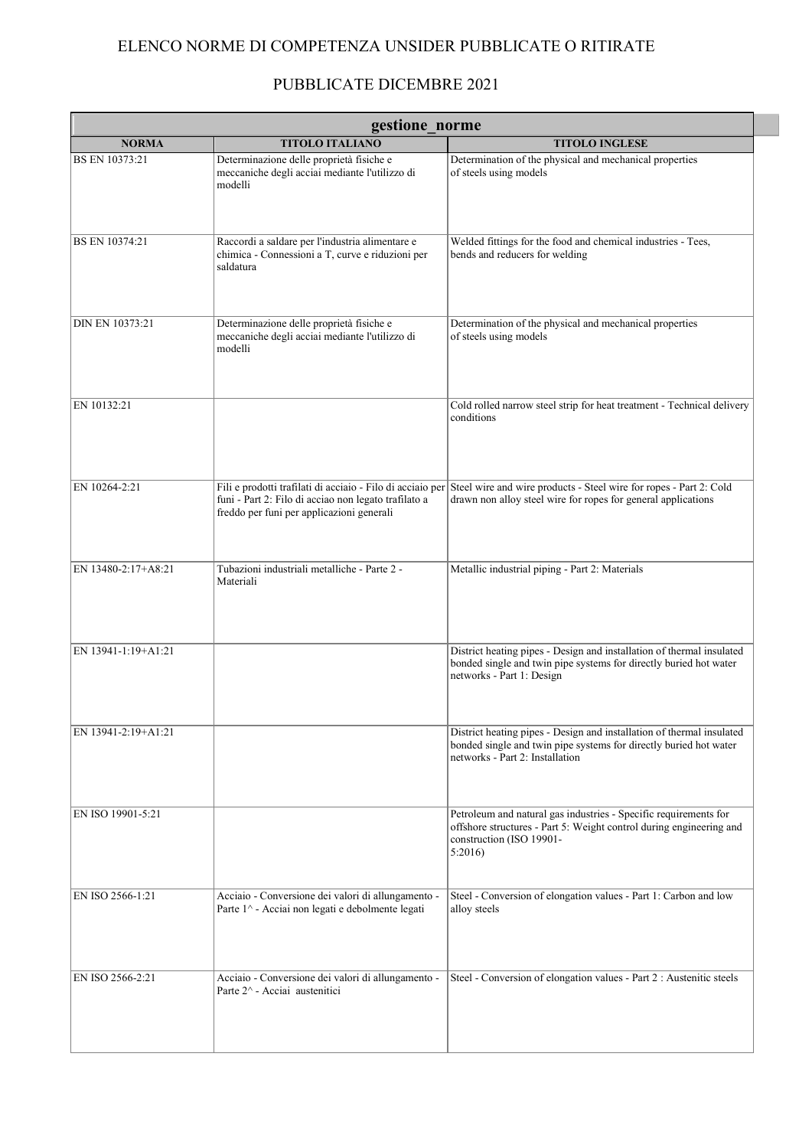## ELENCO NORME DI COMPETENZA UNSIDER PUBBLICATE O RITIRATE

## PUBBLICATE DICEMBRE 2021

| gestione norme         |                                                                                                                  |                                                                                                                                                                                                |  |
|------------------------|------------------------------------------------------------------------------------------------------------------|------------------------------------------------------------------------------------------------------------------------------------------------------------------------------------------------|--|
| <b>NORMA</b>           | <b>TITOLO ITALIANO</b>                                                                                           | <b>TITOLO INGLESE</b>                                                                                                                                                                          |  |
| BS EN 10373:21         | Determinazione delle proprietà fisiche e<br>meccaniche degli acciai mediante l'utilizzo di<br>modelli            | Determination of the physical and mechanical properties<br>of steels using models                                                                                                              |  |
| BS EN 10374:21         | Raccordi a saldare per l'industria alimentare e<br>chimica - Connessioni a T, curve e riduzioni per<br>saldatura | Welded fittings for the food and chemical industries - Tees,<br>bends and reducers for welding                                                                                                 |  |
| <b>DIN EN 10373:21</b> | Determinazione delle proprietà fisiche e<br>meccaniche degli acciai mediante l'utilizzo di<br>modelli            | Determination of the physical and mechanical properties<br>of steels using models                                                                                                              |  |
| EN 10132:21            |                                                                                                                  | Cold rolled narrow steel strip for heat treatment - Technical delivery<br>conditions                                                                                                           |  |
| EN 10264-2:21          | funi - Part 2: Filo di acciao non legato trafilato a<br>freddo per funi per applicazioni generali                | Fili e prodotti trafilati di acciaio - Filo di acciaio per Steel wire and wire products - Steel wire for ropes - Part 2: Cold<br>drawn non alloy steel wire for ropes for general applications |  |
| EN 13480-2:17+A8:21    | Tubazioni industriali metalliche - Parte 2 -<br>Materiali                                                        | Metallic industrial piping - Part 2: Materials                                                                                                                                                 |  |
| EN 13941-1:19+A1:21    |                                                                                                                  | District heating pipes - Design and installation of thermal insulated<br>bonded single and twin pipe systems for directly buried hot water<br>networks - Part 1: Design                        |  |
| EN 13941-2:19+A1:21    |                                                                                                                  | District heating pipes - Design and installation of thermal insulated<br>bonded single and twin pipe systems for directly buried hot water<br>networks - Part 2: Installation                  |  |
| EN ISO 19901-5:21      |                                                                                                                  | Petroleum and natural gas industries - Specific requirements for<br>offshore structures - Part 5: Weight control during engineering and<br>construction (ISO 19901-<br>5:2016                  |  |
| EN ISO 2566-1:21       | Acciaio - Conversione dei valori di allungamento -<br>Parte 1^ - Acciai non legati e debolmente legati           | Steel - Conversion of elongation values - Part 1: Carbon and low<br>alloy steels                                                                                                               |  |
| EN ISO 2566-2:21       | Acciaio - Conversione dei valori di allungamento -<br>Parte 2^ - Acciai austenitici                              | Steel - Conversion of elongation values - Part 2 : Austenitic steels                                                                                                                           |  |